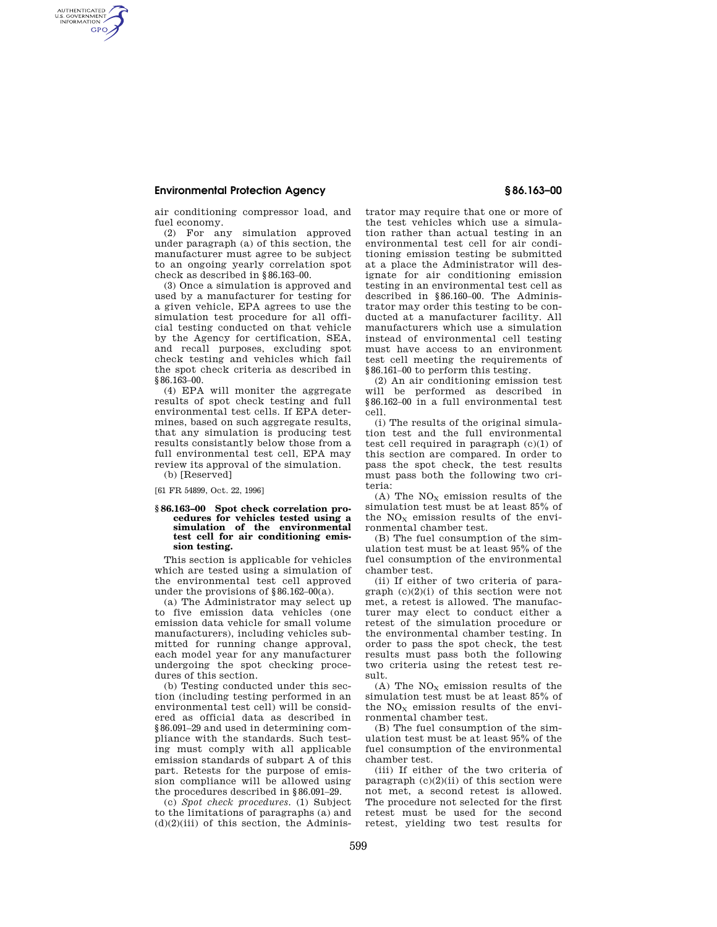## **Environmental Protection Agency § 86.163–00**

AUTHENTICATED<br>U.S. GOVERNMENT<br>INFORMATION **GPO** 

air conditioning compressor load, and fuel economy.

(2) For any simulation approved under paragraph (a) of this section, the manufacturer must agree to be subject to an ongoing yearly correlation spot check as described in §86.163–00.

(3) Once a simulation is approved and used by a manufacturer for testing for a given vehicle, EPA agrees to use the simulation test procedure for all official testing conducted on that vehicle by the Agency for certification, SEA, and recall purposes, excluding spot check testing and vehicles which fail the spot check criteria as described in §86.163-00.

(4) EPA will moniter the aggregate results of spot check testing and full environmental test cells. If EPA determines, based on such aggregate results, that any simulation is producing test results consistantly below those from a full environmental test cell, EPA may review its approval of the simulation.

(b) [Reserved]

[61 FR 54899, Oct. 22, 1996]

## **§ 86.163–00 Spot check correlation procedures for vehicles tested using a simulation of the environmental test cell for air conditioning emission testing.**

This section is applicable for vehicles which are tested using a simulation of the environmental test cell approved under the provisions of  $§86.162-00(a)$ .

(a) The Administrator may select up to five emission data vehicles (one emission data vehicle for small volume manufacturers), including vehicles submitted for running change approval, each model year for any manufacturer undergoing the spot checking procedures of this section.

(b) Testing conducted under this section (including testing performed in an environmental test cell) will be considered as official data as described in §86.091–29 and used in determining compliance with the standards. Such testing must comply with all applicable emission standards of subpart A of this part. Retests for the purpose of emission compliance will be allowed using the procedures described in §86.091–29.

(c) *Spot check procedures.* (1) Subject to the limitations of paragraphs (a) and  $(d)(2)(iii)$  of this section, the Administrator may require that one or more of the test vehicles which use a simulation rather than actual testing in an environmental test cell for air conditioning emission testing be submitted at a place the Administrator will designate for air conditioning emission testing in an environmental test cell as described in §86.160–00. The Administrator may order this testing to be conducted at a manufacturer facility. All manufacturers which use a simulation instead of environmental cell testing must have access to an environment test cell meeting the requirements of §86.161–00 to perform this testing.

(2) An air conditioning emission test will be performed as described in §86.162–00 in a full environmental test cell.

(i) The results of the original simulation test and the full environmental test cell required in paragraph (c)(1) of this section are compared. In order to pass the spot check, the test results must pass both the following two criteria:

(A) The  $NO<sub>X</sub>$  emission results of the simulation test must be at least 85% of the  $NO<sub>x</sub>$  emission results of the environmental chamber test.

(B) The fuel consumption of the simulation test must be at least 95% of the fuel consumption of the environmental chamber test.

(ii) If either of two criteria of paragraph  $(c)(2)(i)$  of this section were not met, a retest is allowed. The manufacturer may elect to conduct either a retest of the simulation procedure or the environmental chamber testing. In order to pass the spot check, the test results must pass both the following two criteria using the retest test result.

(A) The  $NO<sub>x</sub>$  emission results of the simulation test must be at least 85% of the  $NO<sub>X</sub>$  emission results of the environmental chamber test.

(B) The fuel consumption of the simulation test must be at least 95% of the fuel consumption of the environmental chamber test.

(iii) If either of the two criteria of paragraph  $(c)(2)(ii)$  of this section were not met, a second retest is allowed. The procedure not selected for the first retest must be used for the second retest, yielding two test results for